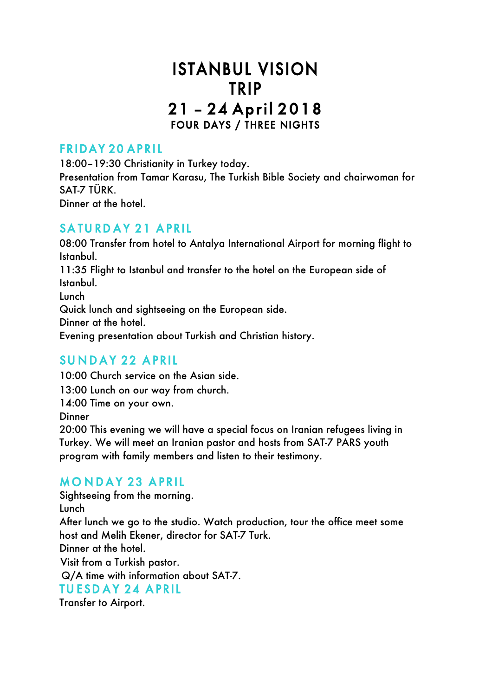# ISTANBUL VISION TRIP 21 – 24 April 2018 FOUR DAYS / THREE NIGHTS

### FRIDAY 20 APRIL

18:00–19:30 Christianity in Turkey today. Presentation from Tamar Karasu, The Turkish Bible Society and chairwoman for SAT-7 TÜRK. Dinner at the hotel.

### SATURDAY 21 APRIL

08:00 Transfer from hotel to Antalya International Airport for morning flight to Istanbul. 11:35 Flight to Istanbul and transfer to the hotel on the European side of Istanbul. Lunch Quick lunch and sightseeing on the European side. Dinner at the hotel. Evening presentation about Turkish and Christian history.

## SUNDAY 22 APRIL

10:00 Church service on the Asian side. 13:00 Lunch on our way from church. 14:00 Time on your own. **Dinner** 20:00 This evening we will have a special focus on Iranian refugees living in Turkey. We will meet an Iranian pastor and hosts from SAT-7 PARS youth program with family members and listen to their testimony.

# **MONDAY 23 APRIL**

Sightseeing from the morning. Lunch After lunch we go to the studio. Watch production, tour the office meet some host and Melih Ekener, director for SAT-7 Turk. Dinner at the hotel. Visit from a Turkish pastor. Q/A time with information about SAT-7. TUESDAY 24 APRIL Transfer to Airport.